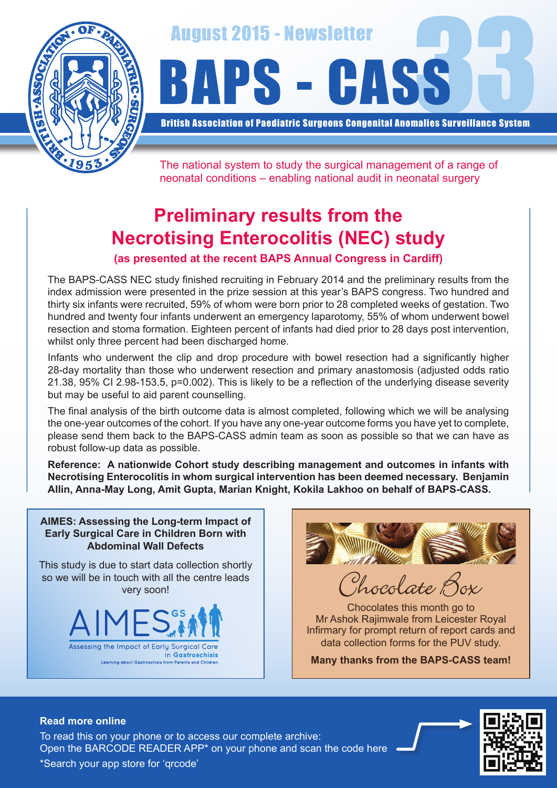

August 2015 - Newsletter<br>BAPS - CASS

British Association of Paediatric Surgeons Congenital Anomalies Surveillance System

The national system to study the surgical management of a range of neonatal conditions – enabling national audit in neonatal surgery

# **Preliminary results from the Necrotising Enterocolitis (NEC) study**

### **(as presented at the recent BAPS Annual Congress in Cardiff)**

The BAPS-CASS NEC study finished recruiting in February 2014 and the preliminary results from the index admission were presented in the prize session at this year's BAPS congress. Two hundred and thirty six infants were recruited, 59% of whom were born prior to 28 completed weeks of gestation. Two hundred and twenty four infants underwent an emergency laparotomy, 55% of whom underwent bowel resection and stoma formation. Eighteen percent of infants had died prior to 28 days post intervention, whilst only three percent had been discharged home.

Infants who underwent the clip and drop procedure with bowel resection had a significantly higher 28-day mortality than those who underwent resection and primary anastomosis (adjusted odds ratio 21.38, 95% CI 2.98-153.5, p=0.002). This is likely to be a reflection of the underlying disease severity but may be useful to aid parent counselling.

The final analysis of the birth outcome data is almost completed, following which we will be analysing the one-year outcomes of the cohort. If you have any one-year outcome forms you have yet to complete, please send them back to the BAPS-CASS admin team as soon as possible so that we can have as robust follow-up data as possible.

**Reference: A nationwide Cohort study describing management and outcomes in infants with Necrotising Enterocolitis in whom surgical intervention has been deemed necessary. Benjamin Allin, Anna-May Long, Amit Gupta, Marian Knight, Kokila Lakhoo on behalf of BAPS-CASS.**

**AIMES: Assessing the Long-term Impact of Early Surgical Care in Children Born with Abdominal Wall Defects**

This study is due to start data collection shortly so we will be in touch with all the centre leads very soon!





rocolate Box

Chocolates this month go to Mr Ashok Rajimwale from Leicester Royal Infirmary for prompt return of report cards and data collection forms for the PUV study.

**Many thanks from the BAPS-CASS team!**

#### **Read more online**

Open the BARCODE READER APP\* on your phone and scan the code here To read this on your phone or to access our complete archive: \*Search your app store for 'qrcode'